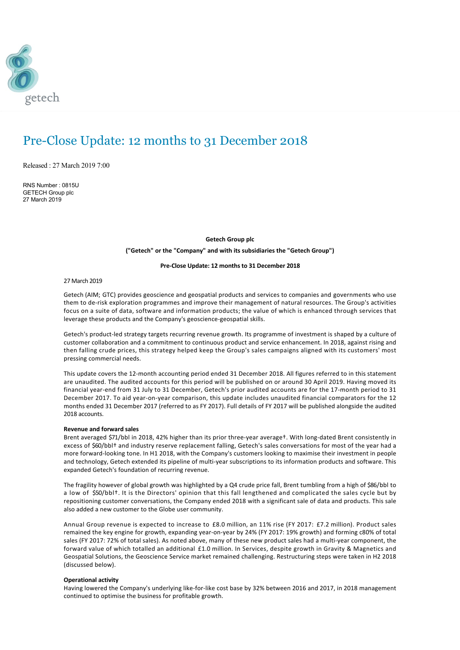

# Pre-Close Update: 12 months to 31 December 2018

Released : 27 March 2019 7:00

RNS Number : 0815U GETECH Group plc 27 March 2019

#### **Getech Group plc**

**("Getech" or the "Company" and with its subsidiaries the "Getech Group")**

#### **Pre‐Close Update: 12 months to 31 December 2018**

27 March 2019

Getech (AIM; GTC) provides geoscience and geospatial products and services to companies and governments who use them to de‐risk exploration programmes and improve their management of natural resources. The Group's activities focus on a suite of data, software and information products; the value of which is enhanced through services that leverage these products and the Company's geoscience‐geospatial skills.

Getech's product-led strategy targets recurring revenue growth. Its programme of investment is shaped by a culture of customer collaboration and a commitment to continuous product and service enhancement. In 2018, against rising and then falling crude prices, this strategy helped keep the Group's sales campaigns aligned with its customers' most pressing commercial needs.

This update covers the 12‐month accounting period ended 31 December 2018. All figures referred to in this statement are unaudited. The audited accounts for this period will be published on or around 30 April 2019. Having moved its financial year-end from 31 July to 31 December, Getech's prior audited accounts are for the 17-month period to 31 December 2017. To aid year‐on‐year comparison, this update includes unaudited financial comparators for the 12 months ended 31 December 2017 (referred to as FY 2017). Full details of FY 2017 will be published alongside the audited 2018 accounts.

#### **Revenue and forward sales**

Brent averaged \$71/bbl in 2018, 42% higher than its prior three‐year average†. With long‐dated Brent consistently in excess of \$60/bbl† and industry reserve replacement falling, Getech's sales conversations for most of the year had a more forward-looking tone. In H1 2018, with the Company's customers looking to maximise their investment in people and technology, Getech extended its pipeline of multi-year subscriptions to its information products and software. This expanded Getech's foundation of recurring revenue.

The fragility however of global growth was highlighted by a Q4 crude price fall, Brent tumbling from a high of \$86/bbl to a low of \$50/bbl†. It is the Directors' opinion that this fall lengthened and complicated the sales cycle but by repositioning customer conversations, the Company ended 2018 with a significant sale of data and products. This sale also added a new customer to the Globe user community.

Annual Group revenue is expected to increase to £8.0 million, an 11% rise (FY 2017: £7.2 million). Product sales remained the key engine for growth, expanding year‐on‐year by 24% (FY 2017: 19% growth) and forming c80% of total sales (FY 2017: 72% of total sales). As noted above, many of these new product sales had a multi-year component, the forward value of which totalled an additional £1.0 million. In Services, despite growth in Gravity & Magnetics and Geospatial Solutions, the Geoscience Service market remained challenging. Restructuring steps were taken in H2 2018 (discussed below).

## **Operational activity**

Having lowered the Company's underlying like‐for‐like cost base by 32% between 2016 and 2017, in 2018 management continued to optimise the business for profitable growth.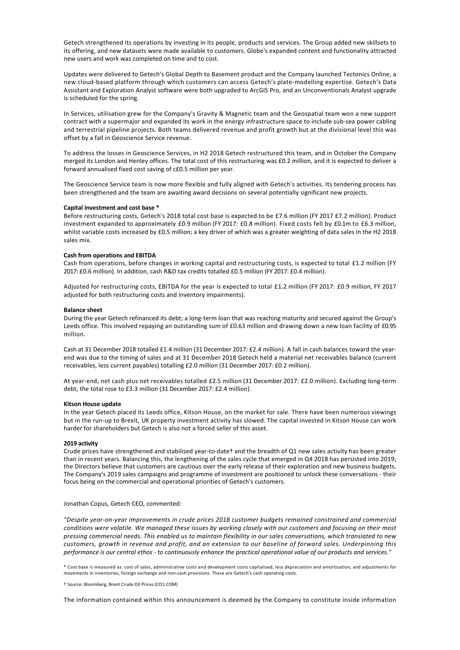Getech strengthened its operations by investing in its people, products and services. The Group added new skillsets to its offering, and new datasets were made available to customers. Globe's expanded content and functionality attracted new users and work was completed on time and to cost.

Updates were delivered to Getech's Global Depth to Basement product and the Company launched Tectonics Online, a new cloud‐based platform through which customers can access Getech's plate‐modelling expertise. Getech's Data Assistant and Exploration Analyst software were both upgraded to ArcGIS Pro, and an Unconventionals Analyst upgrade is scheduled for the spring.

In Services, utilisation grew for the Company's Gravity & Magnetic team and the Geospatial team won a new support contract with a supermajor and expanded its work in the energy infrastructure space to include sub-sea power cabling and terrestrial pipeline projects. Both teams delivered revenue and profit growth but at the divisional level this was offset by a fall in Geoscience Service revenue.

To address the losses in Geoscience Services, in H2 2018 Getech restructured this team, and in October the Company merged its London and Henley offices. The total cost of this restructuring was £0.2 million, and it is expected to deliver a forward annualised fixed cost saving of c£0.5 million per year.

The Geoscience Service team is now more flexible and fully aligned with Getech's activities. Its tendering process has been strengthened and the team are awaiting award decisions on several potentially significant new projects.

#### **Capital investment and cost base \***

Before restructuring costs, Getech's 2018 total cost base is expected to be £7.6 million (FY 2017 £7.2 million). Product investment expanded to approximately £0.9 million (FY 2017: £0.8 million). Fixed costs fell by £0.1m to £6.3 million, whilst variable costs increased by £0.5 million; a key driver of which was a greater weighting of data sales in the H2 2018 sales mix.

# **Cash from operations and EBITDA**

Cash from operations, before changes in working capital and restructuring costs, is expected to total £1.2 million (FY 2017: £0.6 million). In addition, cash R&D tax credits totalled £0.5 million (FY 2017: £0.4 million).

Adjusted for restructuring costs, EBITDA for the year is expected to total £1.2 million (FY 2017: £0.9 million, FY 2017 adjusted for both restructuring costs and inventory impairments).

# **Balance sheet**

During the year Getech refinanced its debt; a long‐term loan that was reaching maturity and secured against the Group's Leeds office. This involved repaying an outstanding sum of £0.63 million and drawing down a new loan facility of £0.95 million.

Cash at 31 December 2018 totalled £1.4 million (31 December 2017: £2.4 million). A fall in cash balances toward the yearend was due to the timing of sales and at 31 December 2018 Getech held a material net receivables balance (current receivables, less current payables) totalling £2.0 million (31 December 2017: £0.2 million).

At year‐end, net cash plus net receivables totalled £2.5 million (31 December 2017: £2.0 million). Excluding long‐term debt, the total rose to £3.3 million (31 December 2017: £2.4 million).

#### **Kitson House update**

In the year Getech placed its Leeds office, Kitson House, on the market for sale. There have been numerous viewings but in the run‐up to Brexit, UK property investment activity has slowed. The capital invested in Kitson House can work harder for shareholders but Getech is also not a forced seller of this asset.

# **2019 activity**

Crude prices have strengthened and stabilised year-to-date† and the breadth of Q1 new sales activity has been greater than in recent years. Balancing this, the lengthening of the sales cycle that emerged in Q4 2018 has persisted into 2019; the Directors believe that customers are cautious over the early release of their exploration and new business budgets. The Company's 2019 sales campaigns and programme of investment are positioned to unlock these conversations ‐ their focus being on the commercial and operational priorities of Getech's customers.

Jonathan Copus, Getech CEO, commented:

*"Despite year‐on‐year improvements in crude prices 2018 customer budgets remained constrained and commercial conditions were volatile. We managed these issues by working closely with our customers and focusing on their most pressing commercial needs. This enabled us to maintain flexibility in our sales conversations, which translated to new customers, growth in revenue and profit, and an extension to our baseline of forward sales. Underpinning this performance is our central ethos ‐ to continuously enhance the practical operational value of our products and services."*

\* Cost base is measured as: cost of sales, administrative costs and development costs capitalised, less depreciation and amortisation, and adjustments for movements in inventories, foreign exchange and non‐cash provisions. These are Getech's cash operating costs.

† Source: Bloomberg, Brent Crude Oil Prices (CO1:COM)

The information contained within this announcement is deemed by the Company to constitute inside information